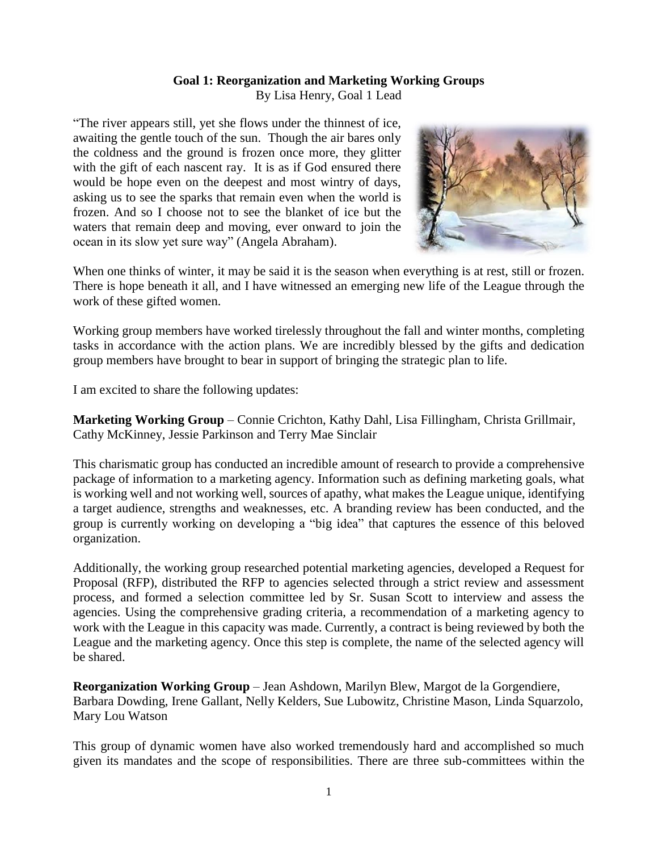## **Goal 1: Reorganization and Marketing Working Groups**

By Lisa Henry, Goal 1 Lead

"The river appears still, yet she flows under the thinnest of ice, awaiting the gentle touch of the sun. Though the air bares only the coldness and the ground is frozen once more, they glitter with the gift of each nascent ray. It is as if God ensured there would be hope even on the deepest and most wintry of days, asking us to see the sparks that remain even when the world is frozen. And so I choose not to see the blanket of ice but the waters that remain deep and moving, ever onward to join the ocean in its slow yet sure way" (Angela Abraham).



When one thinks of winter, it may be said it is the season when everything is at rest, still or frozen. There is hope beneath it all, and I have witnessed an emerging new life of the League through the work of these gifted women.

Working group members have worked tirelessly throughout the fall and winter months, completing tasks in accordance with the action plans. We are incredibly blessed by the gifts and dedication group members have brought to bear in support of bringing the strategic plan to life.

I am excited to share the following updates:

**Marketing Working Group** – Connie Crichton, Kathy Dahl, Lisa Fillingham, Christa Grillmair, Cathy McKinney, Jessie Parkinson and Terry Mae Sinclair

This charismatic group has conducted an incredible amount of research to provide a comprehensive package of information to a marketing agency. Information such as defining marketing goals, what is working well and not working well, sources of apathy, what makes the League unique, identifying a target audience, strengths and weaknesses, etc. A branding review has been conducted, and the group is currently working on developing a "big idea" that captures the essence of this beloved organization.

Additionally, the working group researched potential marketing agencies, developed a Request for Proposal (RFP), distributed the RFP to agencies selected through a strict review and assessment process, and formed a selection committee led by Sr. Susan Scott to interview and assess the agencies. Using the comprehensive grading criteria, a recommendation of a marketing agency to work with the League in this capacity was made. Currently, a contract is being reviewed by both the League and the marketing agency. Once this step is complete, the name of the selected agency will be shared.

**Reorganization Working Group** – Jean Ashdown, Marilyn Blew, Margot de la Gorgendiere, Barbara Dowding, Irene Gallant, Nelly Kelders, Sue Lubowitz, Christine Mason, Linda Squarzolo, Mary Lou Watson

This group of dynamic women have also worked tremendously hard and accomplished so much given its mandates and the scope of responsibilities. There are three sub-committees within the